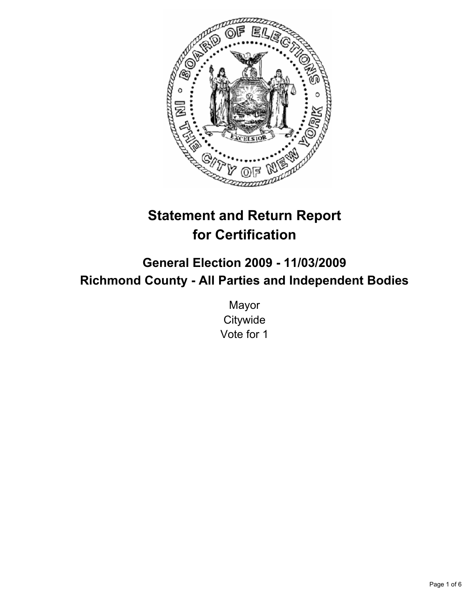

# **Statement and Return Report for Certification**

# **General Election 2009 - 11/03/2009 Richmond County - All Parties and Independent Bodies**

Mayor **Citywide** Vote for 1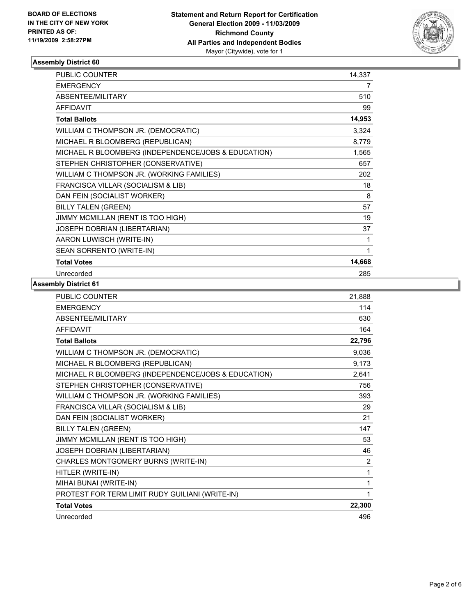

# **Assembly District 60**

| PUBLIC COUNTER                                      | 14,337 |
|-----------------------------------------------------|--------|
| <b>EMERGENCY</b>                                    | 7      |
| ABSENTEE/MILITARY                                   | 510    |
| <b>AFFIDAVIT</b>                                    | 99     |
| <b>Total Ballots</b>                                | 14,953 |
| WILLIAM C THOMPSON JR. (DEMOCRATIC)                 | 3,324  |
| MICHAEL R BLOOMBERG (REPUBLICAN)                    | 8,779  |
| MICHAEL R BLOOMBERG (INDEPENDENCE/JOBS & EDUCATION) | 1,565  |
| STEPHEN CHRISTOPHER (CONSERVATIVE)                  | 657    |
| WILLIAM C THOMPSON JR. (WORKING FAMILIES)           | 202    |
| FRANCISCA VILLAR (SOCIALISM & LIB)                  | 18     |
| DAN FEIN (SOCIALIST WORKER)                         | 8      |
| <b>BILLY TALEN (GREEN)</b>                          | 57     |
| JIMMY MCMILLAN (RENT IS TOO HIGH)                   | 19     |
| JOSEPH DOBRIAN (LIBERTARIAN)                        | 37     |
| AARON LUWISCH (WRITE-IN)                            | 1      |
| SEAN SORRENTO (WRITE-IN)                            | 1      |
| <b>Total Votes</b>                                  | 14,668 |
| Unrecorded                                          | 285    |

### **Assembly District 61**

| PUBLIC COUNTER                                      | 21,888 |
|-----------------------------------------------------|--------|
| <b>EMERGENCY</b>                                    | 114    |
| ABSENTEE/MILITARY                                   | 630    |
| <b>AFFIDAVIT</b>                                    | 164    |
| <b>Total Ballots</b>                                | 22,796 |
| WILLIAM C THOMPSON JR. (DEMOCRATIC)                 | 9,036  |
| MICHAEL R BLOOMBERG (REPUBLICAN)                    | 9,173  |
| MICHAEL R BLOOMBERG (INDEPENDENCE/JOBS & EDUCATION) | 2,641  |
| STEPHEN CHRISTOPHER (CONSERVATIVE)                  | 756    |
| WILLIAM C THOMPSON JR. (WORKING FAMILIES)           | 393    |
| FRANCISCA VILLAR (SOCIALISM & LIB)                  | 29     |
| DAN FEIN (SOCIALIST WORKER)                         | 21     |
| <b>BILLY TALEN (GREEN)</b>                          | 147    |
| JIMMY MCMILLAN (RENT IS TOO HIGH)                   | 53     |
| JOSEPH DOBRIAN (LIBERTARIAN)                        | 46     |
| CHARLES MONTGOMERY BURNS (WRITE-IN)                 | 2      |
| HITLER (WRITE-IN)                                   | 1      |
| MIHAI BUNAI (WRITE-IN)                              | 1      |
| PROTEST FOR TERM LIMIT RUDY GUILIANI (WRITE-IN)     | 1      |
| <b>Total Votes</b>                                  | 22,300 |
| Unrecorded                                          | 496    |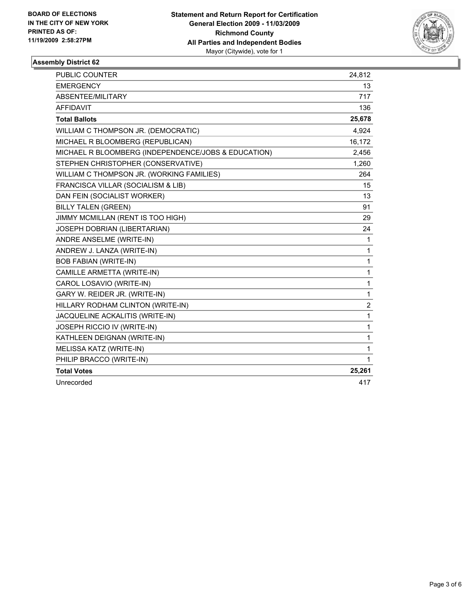

# **Assembly District 62**

| <b>PUBLIC COUNTER</b>                               | 24,812         |
|-----------------------------------------------------|----------------|
| <b>EMERGENCY</b>                                    | 13             |
| ABSENTEE/MILITARY                                   | 717            |
| <b>AFFIDAVIT</b>                                    | 136            |
| <b>Total Ballots</b>                                | 25,678         |
| WILLIAM C THOMPSON JR. (DEMOCRATIC)                 | 4,924          |
| MICHAEL R BLOOMBERG (REPUBLICAN)                    | 16,172         |
| MICHAEL R BLOOMBERG (INDEPENDENCE/JOBS & EDUCATION) | 2,456          |
| STEPHEN CHRISTOPHER (CONSERVATIVE)                  | 1,260          |
| WILLIAM C THOMPSON JR. (WORKING FAMILIES)           | 264            |
| FRANCISCA VILLAR (SOCIALISM & LIB)                  | 15             |
| DAN FEIN (SOCIALIST WORKER)                         | 13             |
| <b>BILLY TALEN (GREEN)</b>                          | 91             |
| JIMMY MCMILLAN (RENT IS TOO HIGH)                   | 29             |
| JOSEPH DOBRIAN (LIBERTARIAN)                        | 24             |
| ANDRE ANSELME (WRITE-IN)                            | 1              |
| ANDREW J. LANZA (WRITE-IN)                          | 1              |
| <b>BOB FABIAN (WRITE-IN)</b>                        | $\mathbf{1}$   |
| CAMILLE ARMETTA (WRITE-IN)                          | $\mathbf{1}$   |
| CAROL LOSAVIO (WRITE-IN)                            | $\mathbf{1}$   |
| GARY W. REIDER JR. (WRITE-IN)                       | 1              |
| HILLARY RODHAM CLINTON (WRITE-IN)                   | $\overline{2}$ |
| JACQUELINE ACKALITIS (WRITE-IN)                     | $\mathbf{1}$   |
| JOSEPH RICCIO IV (WRITE-IN)                         | $\mathbf{1}$   |
| KATHLEEN DEIGNAN (WRITE-IN)                         | 1              |
| MELISSA KATZ (WRITE-IN)                             | 1              |
| PHILIP BRACCO (WRITE-IN)                            | 1              |
| <b>Total Votes</b>                                  | 25,261         |
| Unrecorded                                          | 417            |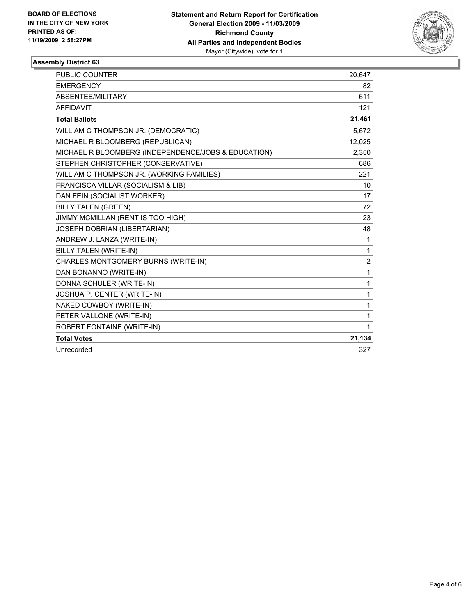

# **Assembly District 63**

| PUBLIC COUNTER                                      | 20,647         |
|-----------------------------------------------------|----------------|
| <b>EMERGENCY</b>                                    | 82             |
| ABSENTEE/MILITARY                                   | 611            |
| <b>AFFIDAVIT</b>                                    | 121            |
| <b>Total Ballots</b>                                | 21,461         |
| WILLIAM C THOMPSON JR. (DEMOCRATIC)                 | 5.672          |
| MICHAEL R BLOOMBERG (REPUBLICAN)                    | 12,025         |
| MICHAEL R BLOOMBERG (INDEPENDENCE/JOBS & EDUCATION) | 2,350          |
| STEPHEN CHRISTOPHER (CONSERVATIVE)                  | 686            |
| WILLIAM C THOMPSON JR. (WORKING FAMILIES)           | 221            |
| FRANCISCA VILLAR (SOCIALISM & LIB)                  | 10             |
| DAN FEIN (SOCIALIST WORKER)                         | 17             |
| <b>BILLY TALEN (GREEN)</b>                          | 72             |
| JIMMY MCMILLAN (RENT IS TOO HIGH)                   | 23             |
| JOSEPH DOBRIAN (LIBERTARIAN)                        | 48             |
| ANDREW J. LANZA (WRITE-IN)                          | 1              |
| BILLY TALEN (WRITE-IN)                              | 1              |
| CHARLES MONTGOMERY BURNS (WRITE-IN)                 | $\overline{2}$ |
| DAN BONANNO (WRITE-IN)                              | 1              |
| DONNA SCHULER (WRITE-IN)                            | 1              |
| JOSHUA P. CENTER (WRITE-IN)                         | 1              |
| NAKED COWBOY (WRITE-IN)                             | 1              |
| PETER VALLONE (WRITE-IN)                            | 1              |
| <b>ROBERT FONTAINE (WRITE-IN)</b>                   | 1              |
| <b>Total Votes</b>                                  | 21,134         |
| Unrecorded                                          | 327            |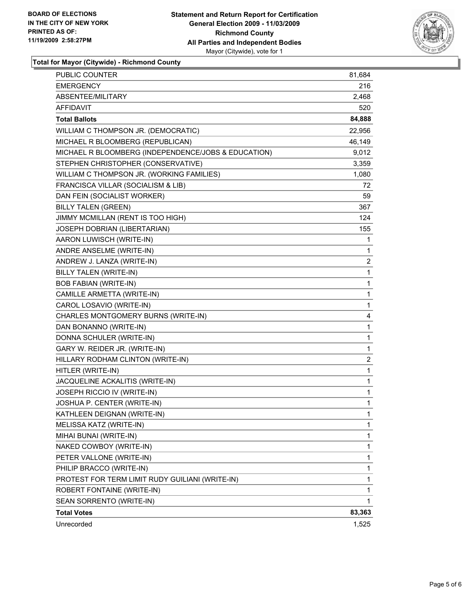

**Total for Mayor (Citywide) - Richmond County**

| <b>PUBLIC COUNTER</b>                               | 81,684       |
|-----------------------------------------------------|--------------|
| <b>EMERGENCY</b>                                    | 216          |
| ABSENTEE/MILITARY                                   | 2,468        |
| AFFIDAVIT                                           | 520          |
| <b>Total Ballots</b>                                | 84,888       |
| WILLIAM C THOMPSON JR. (DEMOCRATIC)                 | 22,956       |
| MICHAEL R BLOOMBERG (REPUBLICAN)                    | 46,149       |
| MICHAEL R BLOOMBERG (INDEPENDENCE/JOBS & EDUCATION) | 9,012        |
| STEPHEN CHRISTOPHER (CONSERVATIVE)                  | 3,359        |
| WILLIAM C THOMPSON JR. (WORKING FAMILIES)           | 1,080        |
| FRANCISCA VILLAR (SOCIALISM & LIB)                  | 72           |
| DAN FEIN (SOCIALIST WORKER)                         | 59           |
| <b>BILLY TALEN (GREEN)</b>                          | 367          |
| JIMMY MCMILLAN (RENT IS TOO HIGH)                   | 124          |
| JOSEPH DOBRIAN (LIBERTARIAN)                        | 155          |
| AARON LUWISCH (WRITE-IN)                            | 1            |
| ANDRE ANSELME (WRITE-IN)                            | 1            |
| ANDREW J. LANZA (WRITE-IN)                          | 2            |
| <b>BILLY TALEN (WRITE-IN)</b>                       | 1            |
| <b>BOB FABIAN (WRITE-IN)</b>                        | 1            |
| CAMILLE ARMETTA (WRITE-IN)                          | 1            |
| CAROL LOSAVIO (WRITE-IN)                            | 1            |
| CHARLES MONTGOMERY BURNS (WRITE-IN)                 | 4            |
| DAN BONANNO (WRITE-IN)                              | 1            |
| DONNA SCHULER (WRITE-IN)                            | 1            |
| GARY W. REIDER JR. (WRITE-IN)                       | 1            |
| HILLARY RODHAM CLINTON (WRITE-IN)                   | 2            |
| HITLER (WRITE-IN)                                   | 1            |
| JACQUELINE ACKALITIS (WRITE-IN)                     | 1            |
| JOSEPH RICCIO IV (WRITE-IN)                         | 1            |
| JOSHUA P. CENTER (WRITE-IN)                         | 1            |
| KATHLEEN DEIGNAN (WRITE-IN)                         | 1            |
| MELISSA KATZ (WRITE-IN)                             | 1            |
| MIHAI BUNAI (WRITE-IN)                              | 1            |
| NAKED COWBOY (WRITE-IN)                             | 1            |
| PETER VALLONE (WRITE-IN)                            | 1            |
| PHILIP BRACCO (WRITE-IN)                            | 1            |
| PROTEST FOR TERM LIMIT RUDY GUILIANI (WRITE-IN)     | 1            |
| ROBERT FONTAINE (WRITE-IN)                          | 1            |
| SEAN SORRENTO (WRITE-IN)                            | $\mathbf{1}$ |
| <b>Total Votes</b>                                  | 83,363       |
| Unrecorded                                          | 1,525        |